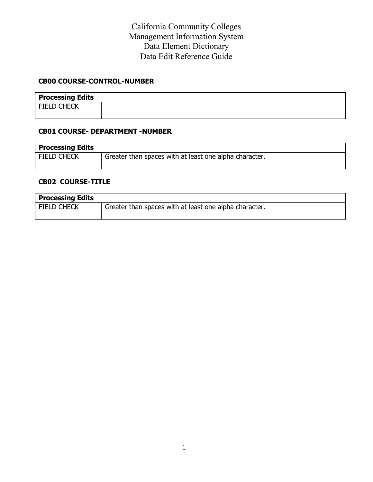#### **CB00 COURSE-CONTROL-NUMBER**

| <b>Processing Edits</b> |  |
|-------------------------|--|
| <b>FIELD CHECK</b>      |  |
|                         |  |

#### **CB01 COURSE- DEPARTMENT -NUMBER**

| <b>Processing Edits</b> |                                                        |
|-------------------------|--------------------------------------------------------|
| <b>FIELD CHECK</b>      | Greater than spaces with at least one alpha character. |
|                         |                                                        |

#### **CB02 COURSE-TITLE**

| <b>Processing Edits</b> |                                                        |
|-------------------------|--------------------------------------------------------|
| <b>FIELD CHECK</b>      | Greater than spaces with at least one alpha character. |
|                         |                                                        |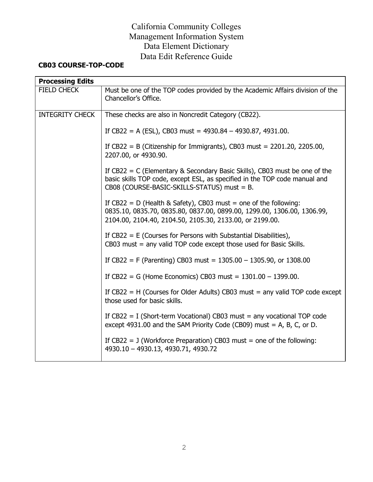# **CB03 COURSE-TOP-CODE**

| <b>Processing Edits</b> |                                                                                                                                                                                                           |
|-------------------------|-----------------------------------------------------------------------------------------------------------------------------------------------------------------------------------------------------------|
| <b>FIELD CHECK</b>      | Must be one of the TOP codes provided by the Academic Affairs division of the<br>Chancellor's Office.                                                                                                     |
| <b>INTEGRITY CHECK</b>  | These checks are also in Noncredit Category (CB22).                                                                                                                                                       |
|                         | If CB22 = A (ESL), CB03 must = $4930.84 - 4930.87$ , 4931.00.                                                                                                                                             |
|                         | If CB22 = B (Citizenship for Immigrants), CB03 must = $2201.20$ , $2205.00$ ,<br>2207.00, or 4930.90.                                                                                                     |
|                         | If $CB22 = C$ (Elementary & Secondary Basic Skills), CB03 must be one of the<br>basic skills TOP code, except ESL, as specified in the TOP code manual and<br>CB08 (COURSE-BASIC-SKILLS-STATUS) must = B. |
|                         | If $CB22 = D$ (Health & Safety), CB03 must = one of the following:<br>0835.10, 0835.70, 0835.80, 0837.00, 0899.00, 1299.00, 1306.00, 1306.99,<br>2104.00, 2104.40, 2104.50, 2105.30, 2133.00, or 2199.00. |
|                         | If $CB22 = E$ (Courses for Persons with Substantial Disabilities),<br>$CB03$ must = any valid TOP code except those used for Basic Skills.                                                                |
|                         | If CB22 = F (Parenting) CB03 must = $1305.00 - 1305.90$ , or $1308.00$                                                                                                                                    |
|                         | If CB22 = G (Home Economics) CB03 must = $1301.00 - 1399.00$ .                                                                                                                                            |
|                         | If $CB22 = H$ (Courses for Older Adults) CB03 must = any valid TOP code except<br>those used for basic skills.                                                                                            |
|                         | If $CB22 = I$ (Short-term Vocational) CB03 must = any vocational TOP code<br>except 4931.00 and the SAM Priority Code (CB09) must = A, B, C, or D.                                                        |
|                         | If $CB22 = J$ (Workforce Preparation) CB03 must = one of the following:<br>4930.10 - 4930.13, 4930.71, 4930.72                                                                                            |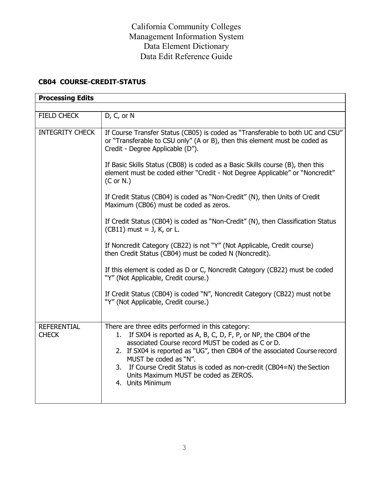## **CB04 COURSE-CREDIT-STATUS**

| <b>Processing Edits</b>            |                                                                                                                                                                                                                                                                                                                                                                                                                              |
|------------------------------------|------------------------------------------------------------------------------------------------------------------------------------------------------------------------------------------------------------------------------------------------------------------------------------------------------------------------------------------------------------------------------------------------------------------------------|
|                                    |                                                                                                                                                                                                                                                                                                                                                                                                                              |
| <b>FIELD CHECK</b>                 | D, C, or N                                                                                                                                                                                                                                                                                                                                                                                                                   |
| <b>INTEGRITY CHECK</b>             | If Course Transfer Status (CB05) is coded as "Transferable to both UC and CSU"<br>or "Transferable to CSU only" (A or B), then this element must be coded as<br>Credit - Degree Applicable (D").                                                                                                                                                                                                                             |
|                                    | If Basic Skills Status (CB08) is coded as a Basic Skills course (B), then this<br>element must be coded either "Credit - Not Degree Applicable" or "Noncredit"<br>$(C$ or $N.$ )                                                                                                                                                                                                                                             |
|                                    | If Credit Status (CB04) is coded as "Non-Credit" (N), then Units of Credit<br>Maximum (CB06) must be coded as zeros.                                                                                                                                                                                                                                                                                                         |
|                                    | If Credit Status (CB04) is coded as "Non-Credit" (N), then Classification Status<br>$(CB11)$ must = J, K, or L.                                                                                                                                                                                                                                                                                                              |
|                                    | If Noncredit Category (CB22) is not "Y" (Not Applicable, Credit course)<br>then Credit Status (CB04) must be coded N (Noncredit).                                                                                                                                                                                                                                                                                            |
|                                    | If this element is coded as D or C, Noncredit Category (CB22) must be coded<br>"Y" (Not Applicable, Credit course.)                                                                                                                                                                                                                                                                                                          |
|                                    | If Credit Status (CB04) is coded "N", Noncredit Category (CB22) must not be<br>"Y" (Not Applicable, Credit course.)                                                                                                                                                                                                                                                                                                          |
| <b>REFERENTIAL</b><br><b>CHECK</b> | There are three edits performed in this category:<br>If SX04 is reported as A, B, C, D, F, P, or NP, the CB04 of the<br>1.<br>associated Course record MUST be coded as C or D.<br>2. If SX04 is reported as "UG", then CB04 of the associated Course record<br>MUST be coded as "N".<br>3. If Course Credit Status is coded as non-credit (CB04=N) the Section<br>Units Maximum MUST be coded as ZEROS.<br>4. Units Minimum |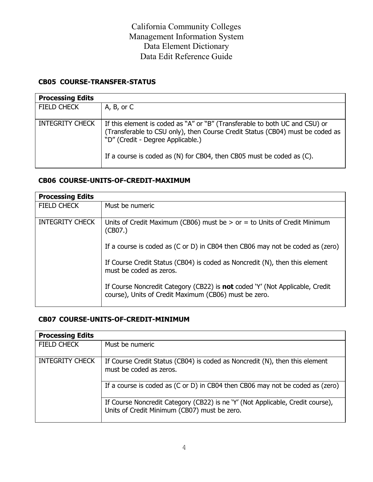## **CB05 COURSE-TRANSFER-STATUS**

| <b>Processing Edits</b> |                                                                                                                                                                                                                                                                            |
|-------------------------|----------------------------------------------------------------------------------------------------------------------------------------------------------------------------------------------------------------------------------------------------------------------------|
| <b>FIELD CHECK</b>      | A, B, or C                                                                                                                                                                                                                                                                 |
| <b>INTEGRITY CHECK</b>  | If this element is coded as "A" or "B" (Transferable to both UC and CSU) or<br>(Transferable to CSU only), then Course Credit Status (CB04) must be coded as<br>"D" (Credit - Degree Applicable.)<br>If a course is coded as (N) for CB04, then CB05 must be coded as (C). |
|                         |                                                                                                                                                                                                                                                                            |

## **CB06 COURSE-UNITS-OF-CREDIT-MAXIMUM**

| <b>Processing Edits</b> |                                                                                                                                              |
|-------------------------|----------------------------------------------------------------------------------------------------------------------------------------------|
| <b>FIELD CHECK</b>      | Must be numeric                                                                                                                              |
| <b>INTEGRITY CHECK</b>  | Units of Credit Maximum (CB06) must be $>$ or $=$ to Units of Credit Minimum<br>(CB07.)                                                      |
|                         | If a course is coded as (C or D) in CB04 then CB06 may not be coded as (zero)                                                                |
|                         | If Course Credit Status (CB04) is coded as Noncredit (N), then this element<br>must be coded as zeros.                                       |
|                         | If Course Noncredit Category (CB22) is <b>not</b> coded 'Y' (Not Applicable, Credit<br>course), Units of Credit Maximum (CB06) must be zero. |

## **CB07 COURSE-UNITS-OF-CREDIT-MINIMUM**

| <b>Processing Edits</b> |                                                                                                                                |
|-------------------------|--------------------------------------------------------------------------------------------------------------------------------|
| <b>FIELD CHECK</b>      | Must be numeric                                                                                                                |
| <b>INTEGRITY CHECK</b>  | If Course Credit Status (CB04) is coded as Noncredit (N), then this element<br>must be coded as zeros.                         |
|                         | If a course is coded as (C or D) in CB04 then CB06 may not be coded as (zero)                                                  |
|                         | If Course Noncredit Category (CB22) is ne 'Y' (Not Applicable, Credit course),<br>Units of Credit Minimum (CB07) must be zero. |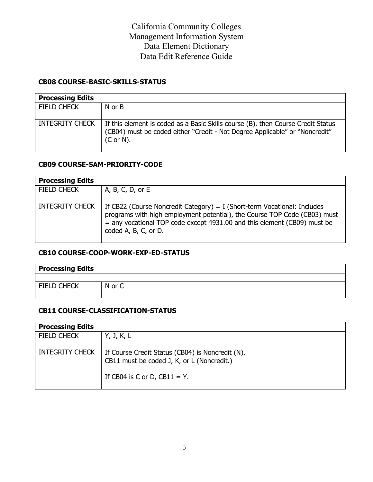## **CB08 COURSE-BASIC-SKILLS-STATUS**

| <b>Processing Edits</b> |                                                                                                                                                                             |
|-------------------------|-----------------------------------------------------------------------------------------------------------------------------------------------------------------------------|
| <b>FIELD CHECK</b>      | N or B                                                                                                                                                                      |
| <b>INTEGRITY CHECK</b>  | If this element is coded as a Basic Skills course (B), then Course Credit Status<br>(CB04) must be coded either "Credit - Not Degree Applicable" or "Noncredit"<br>(Cor N). |

## **CB09 COURSE-SAM-PRIORITY-CODE**

| <b>Processing Edits</b> |                                                                                                                                                                                                                                                           |
|-------------------------|-----------------------------------------------------------------------------------------------------------------------------------------------------------------------------------------------------------------------------------------------------------|
| <b>FIELD CHECK</b>      | A, B, C, D, or E                                                                                                                                                                                                                                          |
| <b>INTEGRITY CHECK</b>  | If CB22 (Course Noncredit Category) = I (Short-term Vocational: Includes<br>programs with high employment potential), the Course TOP Code (CB03) must<br>= any vocational TOP code except 4931.00 and this element (CB09) must be<br>coded A, B, C, or D. |

## **CB10 COURSE-COOP-WORK-EXP-ED-STATUS**

| <b>Processing Edits</b> |        |
|-------------------------|--------|
|                         |        |
| <b>FIELD CHECK</b>      | N or C |

## **CB11 COURSE-CLASSIFICATION-STATUS**

| <b>Processing Edits</b> |                                                                                                |
|-------------------------|------------------------------------------------------------------------------------------------|
| <b>FIELD CHECK</b>      | Y, J, K, L                                                                                     |
| <b>INTEGRITY CHECK</b>  | If Course Credit Status (CB04) is Noncredit (N),<br>CB11 must be coded J, K, or L (Noncredit.) |
|                         | If CB04 is C or D, CB11 = Y.                                                                   |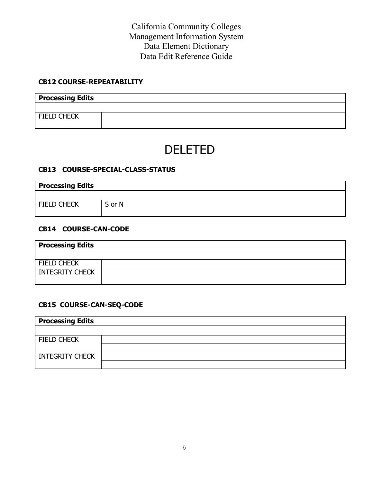#### **CB12 COURSE-REPEATABILITY**

| <b>Processing Edits</b> |  |
|-------------------------|--|
|                         |  |
| <b>FIELD CHECK</b>      |  |

# DELETED

#### **CB13 COURSE-SPECIAL-CLASS-STATUS**

| <b>Processing Edits</b> |        |  |
|-------------------------|--------|--|
|                         |        |  |
| <b>FIELD CHECK</b>      | S or N |  |

## **CB14 COURSE-CAN-CODE**

| <b>Processing Edits</b> |  |
|-------------------------|--|
|                         |  |
| FIELD CHECK             |  |
| <b>INTEGRITY CHECK</b>  |  |

## **CB15 COURSE-CAN-SEQ-CODE**

| <b>Processing Edits</b> |  |
|-------------------------|--|
|                         |  |
| FIELD CHECK             |  |
|                         |  |
| <b>INTEGRITY CHECK</b>  |  |
|                         |  |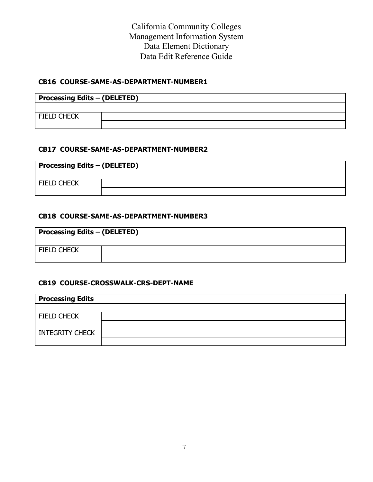#### **CB16 COURSE-SAME-AS-DEPARTMENT-NUMBER1**

| <b>Processing Edits - (DELETED)</b> |  |  |
|-------------------------------------|--|--|
|                                     |  |  |
| <b>FIELD CHECK</b>                  |  |  |
|                                     |  |  |

#### **CB17 COURSE-SAME-AS-DEPARTMENT-NUMBER2**

| <b>Processing Edits - (DELETED)</b> |  |  |
|-------------------------------------|--|--|
|                                     |  |  |
| <b>FIELD CHECK</b>                  |  |  |
|                                     |  |  |

#### **CB18 COURSE-SAME-AS-DEPARTMENT-NUMBER3**

| <b>Processing Edits - (DELETED)</b> |  |  |
|-------------------------------------|--|--|
|                                     |  |  |
| FIELD CHECK                         |  |  |
|                                     |  |  |

## **CB19 COURSE-CROSSWALK-CRS-DEPT-NAME**

| <b>Processing Edits</b> |  |
|-------------------------|--|
|                         |  |
| <b>FIELD CHECK</b>      |  |
|                         |  |
| INTEGRITY CHECK         |  |
|                         |  |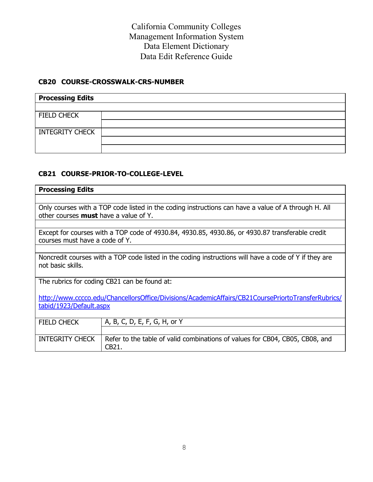## **CB20 COURSE-CROSSWALK-CRS-NUMBER**

| <b>Processing Edits</b> |  |
|-------------------------|--|
|                         |  |
| <b>FIELD CHECK</b>      |  |
|                         |  |
| <b>INTEGRITY CHECK</b>  |  |
|                         |  |
|                         |  |

## **CB21 COURSE-PRIOR-TO-COLLEGE-LEVEL**

| <b>Processing Edits</b>                                                                                                                             |                                                                                       |  |  |
|-----------------------------------------------------------------------------------------------------------------------------------------------------|---------------------------------------------------------------------------------------|--|--|
|                                                                                                                                                     |                                                                                       |  |  |
| Only courses with a TOP code listed in the coding instructions can have a value of A through H. All<br>other courses <b>must</b> have a value of Y. |                                                                                       |  |  |
|                                                                                                                                                     |                                                                                       |  |  |
| Except for courses with a TOP code of 4930.84, 4930.85, 4930.86, or 4930.87 transferable credit<br>courses must have a code of Y.                   |                                                                                       |  |  |
|                                                                                                                                                     |                                                                                       |  |  |
| Noncredit courses with a TOP code listed in the coding instructions will have a code of Y if they are<br>not basic skills.                          |                                                                                       |  |  |
| The rubrics for coding CB21 can be found at:                                                                                                        |                                                                                       |  |  |
| http://www.cccco.edu/ChancellorsOffice/Divisions/AcademicAffairs/CB21CoursePriortoTransferRubrics/                                                  |                                                                                       |  |  |
| tabid/1923/Default.aspx                                                                                                                             |                                                                                       |  |  |
| <b>FIELD CHECK</b>                                                                                                                                  | A, B, C, D, E, F, G, H, or Y                                                          |  |  |
|                                                                                                                                                     |                                                                                       |  |  |
| <b>INTEGRITY CHECK</b>                                                                                                                              | Refer to the table of valid combinations of values for CB04, CB05, CB08, and<br>CB21. |  |  |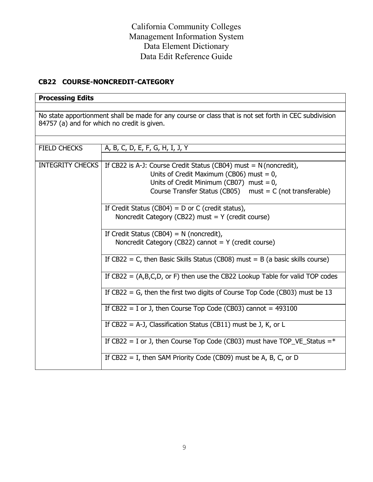## **CB22 COURSE-NONCREDIT-CATEGORY**

## **Processing Edits**

No state apportionment shall be made for any course or class that is not set forth in CEC subdivision 84757 (a) and for which no credit is given.

| <b>FIELD CHECKS</b>                                                            | A, B, C, D, E, F, G, H, I, J, Y                                                  |  |  |  |  |
|--------------------------------------------------------------------------------|----------------------------------------------------------------------------------|--|--|--|--|
|                                                                                |                                                                                  |  |  |  |  |
| <b>INTEGRITY CHECKS</b>                                                        | If CB22 is A-J: Course Credit Status (CB04) must = $N$ (noncredit),              |  |  |  |  |
|                                                                                | Units of Credit Maximum (CB06) must = $0$ ,                                      |  |  |  |  |
|                                                                                | Units of Credit Minimum (CB07) must = $0$ ,                                      |  |  |  |  |
|                                                                                | Course Transfer Status (CB05) $must = C$ (not transferable)                      |  |  |  |  |
|                                                                                |                                                                                  |  |  |  |  |
|                                                                                | If Credit Status (CB04) = $D$ or C (credit status),                              |  |  |  |  |
|                                                                                | Noncredit Category (CB22) must = $Y$ (credit course)                             |  |  |  |  |
|                                                                                |                                                                                  |  |  |  |  |
|                                                                                | If Credit Status (CB04) = $N$ (noncredit),                                       |  |  |  |  |
|                                                                                | Noncredit Category (CB22) cannot $= Y$ (credit course)                           |  |  |  |  |
|                                                                                |                                                                                  |  |  |  |  |
|                                                                                | If $CB22 = C$ , then Basic Skills Status (CB08) must = B (a basic skills course) |  |  |  |  |
|                                                                                |                                                                                  |  |  |  |  |
|                                                                                | If $CB22 = (A,B,C,D,$ or F) then use the CB22 Lookup Table for valid TOP codes   |  |  |  |  |
|                                                                                |                                                                                  |  |  |  |  |
| If $CB22 = G$ , then the first two digits of Course Top Code (CB03) must be 13 |                                                                                  |  |  |  |  |
|                                                                                |                                                                                  |  |  |  |  |
|                                                                                | If $CB22 = I$ or J, then Course Top Code (CB03) cannot = 493100                  |  |  |  |  |
|                                                                                |                                                                                  |  |  |  |  |
|                                                                                | If CB22 = A-J, Classification Status (CB11) must be J, K, or L                   |  |  |  |  |
|                                                                                |                                                                                  |  |  |  |  |
|                                                                                | If CB22 = I or J, then Course Top Code (CB03) must have TOP_VE_Status = $*$      |  |  |  |  |
|                                                                                |                                                                                  |  |  |  |  |
|                                                                                | If $CB22 = I$ , then SAM Priority Code (CB09) must be A, B, C, or D              |  |  |  |  |
|                                                                                |                                                                                  |  |  |  |  |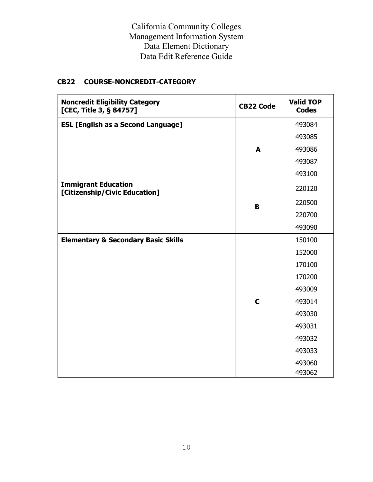## **CB22 COURSE-NONCREDIT-CATEGORY**

| <b>Noncredit Eligibility Category</b><br>[CEC, Title 3, § 84757] | <b>CB22 Code</b> | <b>Valid TOP</b><br><b>Codes</b> |
|------------------------------------------------------------------|------------------|----------------------------------|
| <b>ESL [English as a Second Language]</b>                        |                  | 493084                           |
|                                                                  |                  | 493085                           |
|                                                                  | A                | 493086                           |
|                                                                  |                  | 493087                           |
|                                                                  |                  | 493100                           |
| <b>Immigrant Education</b><br>[Citizenship/Civic Education]      |                  | 220120                           |
|                                                                  | B                | 220500                           |
|                                                                  |                  | 220700                           |
|                                                                  |                  | 493090                           |
| <b>Elementary &amp; Secondary Basic Skills</b>                   |                  | 150100                           |
|                                                                  |                  | 152000                           |
|                                                                  |                  | 170100                           |
|                                                                  |                  | 170200                           |
|                                                                  |                  | 493009                           |
|                                                                  | $\mathbf C$      | 493014                           |
|                                                                  |                  | 493030                           |
|                                                                  |                  | 493031                           |
|                                                                  |                  | 493032                           |
|                                                                  |                  | 493033                           |
|                                                                  |                  | 493060<br>493062                 |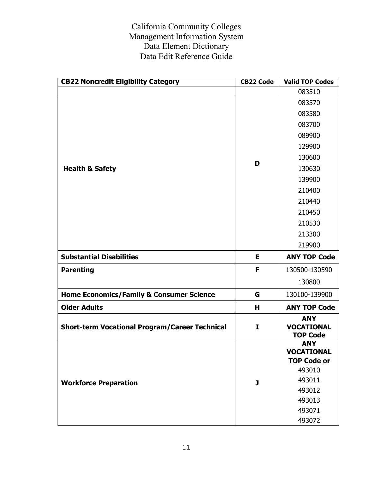| <b>CB22 Noncredit Eligibility Category</b>            | <b>CB22 Code</b> | <b>Valid TOP Codes</b>                                |
|-------------------------------------------------------|------------------|-------------------------------------------------------|
|                                                       |                  | 083510                                                |
|                                                       |                  | 083570                                                |
|                                                       |                  | 083580                                                |
|                                                       |                  | 083700                                                |
|                                                       |                  | 089900                                                |
|                                                       |                  | 129900                                                |
|                                                       | D                | 130600                                                |
| <b>Health &amp; Safety</b>                            |                  | 130630                                                |
|                                                       |                  | 139900                                                |
|                                                       |                  | 210400                                                |
|                                                       |                  | 210440                                                |
|                                                       |                  | 210450                                                |
|                                                       |                  | 210530                                                |
|                                                       |                  | 213300                                                |
|                                                       |                  | 219900                                                |
| <b>Substantial Disabilities</b>                       | Е                | <b>ANY TOP Code</b>                                   |
| <b>Parenting</b>                                      | F                | 130500-130590                                         |
|                                                       |                  | 130800                                                |
| <b>Home Economics/Family &amp; Consumer Science</b>   | G                | 130100-139900                                         |
| <b>Older Adults</b>                                   | н                | <b>ANY TOP Code</b>                                   |
| <b>Short-term Vocational Program/Career Technical</b> | I                | <b>ANY</b><br><b>VOCATIONAL</b><br><b>TOP Code</b>    |
|                                                       | J                | <b>ANY</b><br><b>VOCATIONAL</b><br><b>TOP Code or</b> |
|                                                       |                  | 493010                                                |
| <b>Workforce Preparation</b>                          |                  | 493011                                                |
|                                                       |                  | 493012<br>493013                                      |
|                                                       |                  | 493071                                                |
|                                                       |                  | 493072                                                |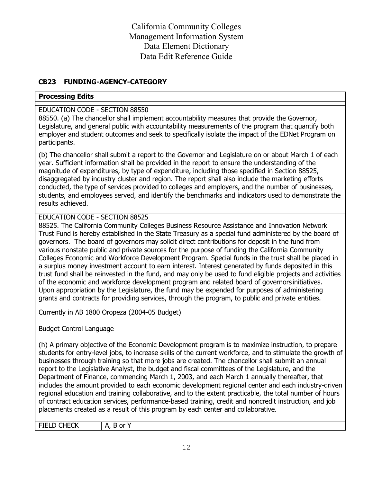## **CB23 FUNDING-AGENCY-CATEGORY**

#### **Processing Edits**

## EDUCATION CODE - SECTION 88550

88550. (a) The chancellor shall implement accountability measures that provide the Governor, Legislature, and general public with accountability measurements of the program that quantify both employer and student outcomes and seek to specifically isolate the impact of the EDNet Program on participants.

(b) The chancellor shall submit a report to the Governor and Legislature on or about March 1 of each year. Sufficient information shall be provided in the report to ensure the understanding of the magnitude of expenditures, by type of expenditure, including those specified in Section 88525, disaggregated by industry cluster and region. The report shall also include the marketing efforts conducted, the type of services provided to colleges and employers, and the number of businesses, students, and employees served, and identify the benchmarks and indicators used to demonstrate the results achieved.

## EDUCATION CODE - SECTION 88525

88525. The California Community Colleges Business Resource Assistance and Innovation Network Trust Fund is hereby established in the State Treasury as a special fund administered by the board of governors. The board of governors may solicit direct contributions for deposit in the fund from various nonstate public and private sources for the purpose of funding the California Community Colleges Economic and Workforce Development Program. Special funds in the trust shall be placed in a surplus money investment account to earn interest. Interest generated by funds deposited in this trust fund shall be reinvested in the fund, and may only be used to fund eligible projects and activities of the economic and workforce development program and related board of governors initiatives. Upon appropriation by the Legislature, the fund may be expended for purposes of administering grants and contracts for providing services, through the program, to public and private entities.

Currently in AB 1800 Oropeza (2004-05 Budget)

Budget Control Language

(h) A primary objective of the Economic Development program is to maximize instruction, to prepare students for entry-level jobs, to increase skills of the current workforce, and to stimulate the growth of businesses through training so that more jobs are created. The chancellor shall submit an annual report to the Legislative Analyst, the budget and fiscal committees of the Legislature, and the Department of Finance, commencing March 1, 2003, and each March 1 annually thereafter, that includes the amount provided to each economic development regional center and each industry-driven regional education and training collaborative, and to the extent practicable, the total number of hours of contract education services, performance-based training, credit and noncredit instruction, and job placements created as a result of this program by each center and collaborative.

FIELD CHECK | A, B or Y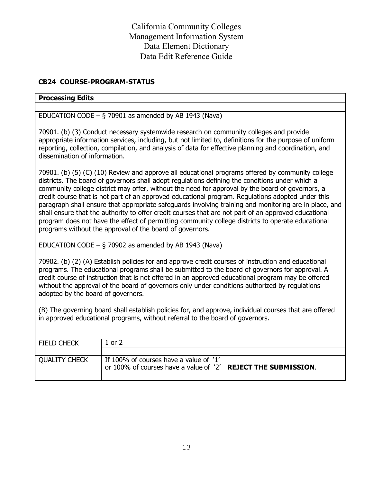## **CB24 COURSE-PROGRAM-STATUS**

#### **Processing Edits**

EDUCATION CODE –  $\S$  70901 as amended by AB 1943 (Nava)

70901. (b) (3) Conduct necessary systemwide research on community colleges and provide appropriate information services, including, but not limited to, definitions for the purpose of uniform reporting, collection, compilation, and analysis of data for effective planning and coordination, and dissemination of information.

70901. (b) (5) (C) (10) Review and approve all educational programs offered by community college districts. The board of governors shall adopt regulations defining the conditions under which a community college district may offer, without the need for approval by the board of governors, a credit course that is not part of an approved educational program. Regulations adopted under this paragraph shall ensure that appropriate safeguards involving training and monitoring are in place, and shall ensure that the authority to offer credit courses that are not part of an approved educational program does not have the effect of permitting community college districts to operate educational programs without the approval of the board of governors.

EDUCATION CODE  $-$  § 70902 as amended by AB 1943 (Nava)

70902. (b) (2) (A) Establish policies for and approve credit courses of instruction and educational programs. The educational programs shall be submitted to the board of governors for approval. A credit course of instruction that is not offered in an approved educational program may be offered without the approval of the board of governors only under conditions authorized by regulations adopted by the board of governors.

(B) The governing board shall establish policies for, and approve, individual courses that are offered in approved educational programs, without referral to the board of governors.

| <b>FIELD CHECK</b>   | 1 or 2                                                               |
|----------------------|----------------------------------------------------------------------|
|                      |                                                                      |
| <b>QUALITY CHECK</b> | If 100% of courses have a value of '1'                               |
|                      | or 100% of courses have a value of '2' <b>REJECT THE SUBMISSION.</b> |
|                      |                                                                      |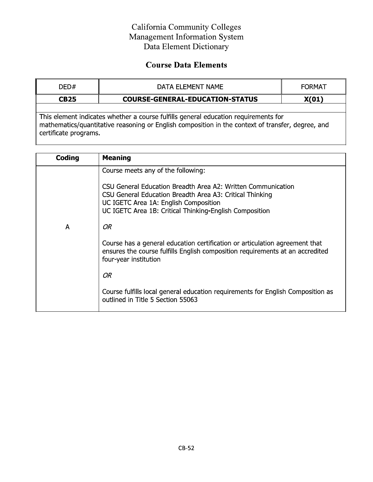# California Community Colleges Management Information System Data Element Dictionary

# **Course Data Elements**

| DFD#                  | DATA ELEMENT NAME                                                                                                                                                                        | <b>FORMAT</b> |
|-----------------------|------------------------------------------------------------------------------------------------------------------------------------------------------------------------------------------|---------------|
| <b>CB25</b>           | <b>COURSE-GENERAL-EDUCATION-STATUS</b>                                                                                                                                                   | X(01)         |
|                       |                                                                                                                                                                                          |               |
| certificate programs. | This element indicates whether a course fulfills general education requirements for<br>mathematics/quantitative reasoning or English composition in the context of transfer, degree, and |               |

| Coding | <b>Meaning</b>                                                                                                                                                                                                                                                     |
|--------|--------------------------------------------------------------------------------------------------------------------------------------------------------------------------------------------------------------------------------------------------------------------|
|        | Course meets any of the following:<br>CSU General Education Breadth Area A2: Written Communication<br>CSU General Education Breadth Area A3: Critical Thinking<br>UC IGETC Area 1A: English Composition<br>UC IGETC Area 1B: Critical Thinking-English Composition |
| A      | OR<br>Course has a general education certification or articulation agreement that<br>ensures the course fulfills English composition requirements at an accredited<br>four-year institution                                                                        |
|        | OR<br>Course fulfills local general education requirements for English Composition as<br>outlined in Title 5 Section 55063                                                                                                                                         |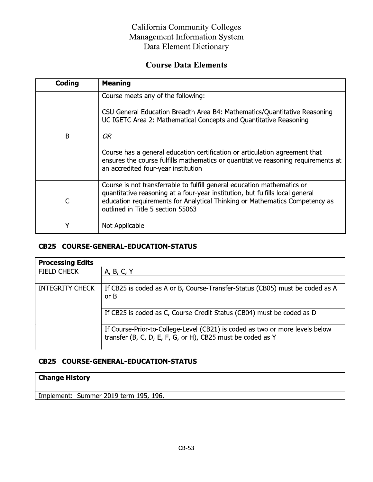## California Community Colleges Management Information System Data Element Dictionary

# **Course Data Elements**

| Coding | <b>Meaning</b>                                                                                                                                                                                                                                                                                                                                                                                        |
|--------|-------------------------------------------------------------------------------------------------------------------------------------------------------------------------------------------------------------------------------------------------------------------------------------------------------------------------------------------------------------------------------------------------------|
| B      | Course meets any of the following:<br>CSU General Education Breadth Area B4: Mathematics/Quantitative Reasoning<br>UC IGETC Area 2: Mathematical Concepts and Quantitative Reasoning<br>OR<br>Course has a general education certification or articulation agreement that<br>ensures the course fulfills mathematics or quantitative reasoning requirements at<br>an accredited four-year institution |
|        | Course is not transferrable to fulfill general education mathematics or<br>quantitative reasoning at a four-year institution, but fulfills local general<br>education requirements for Analytical Thinking or Mathematics Competency as<br>outlined in Title 5 section 55063                                                                                                                          |
| v      | Not Applicable                                                                                                                                                                                                                                                                                                                                                                                        |

## CB25 COURSE-GENERAL-EDUCATION-STATUS

| <b>Processing Edits</b> |                                                                                                                                            |
|-------------------------|--------------------------------------------------------------------------------------------------------------------------------------------|
| <b>FIELD CHECK</b>      | A, B, C, Y                                                                                                                                 |
|                         |                                                                                                                                            |
| <b>INTEGRITY CHECK</b>  | If CB25 is coded as A or B, Course-Transfer-Status (CB05) must be coded as A<br>or B                                                       |
|                         | If CB25 is coded as C, Course-Credit-Status (CB04) must be coded as D                                                                      |
|                         | If Course-Prior-to-College-Level (CB21) is coded as two or more levels below<br>transfer (B, C, D, E, F, G, or H), CB25 must be coded as Y |

# CB25 COURSE-GENERAL-EDUCATION-STATUS

## **Change History**

Implement: Summer 2019 term 195, 196.